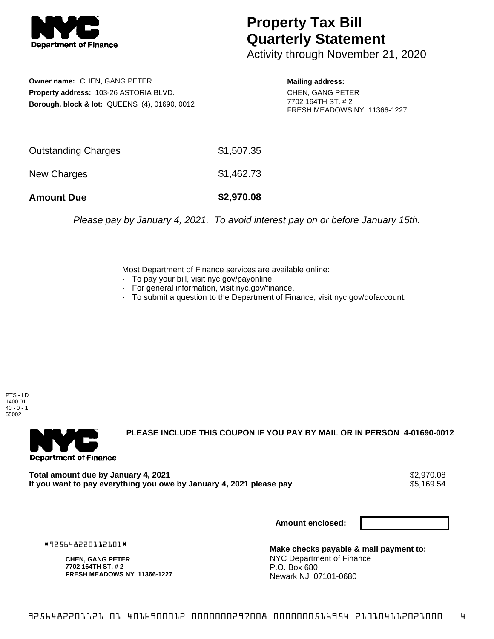

## **Property Tax Bill Quarterly Statement**

Activity through November 21, 2020

**Owner name:** CHEN, GANG PETER **Property address:** 103-26 ASTORIA BLVD. **Borough, block & lot:** QUEENS (4), 01690, 0012 **Mailing address:**

CHEN, GANG PETER 7702 164TH ST. # 2 FRESH MEADOWS NY 11366-1227

| <b>Amount Due</b>   | \$2,970.08 |
|---------------------|------------|
| New Charges         | \$1,462.73 |
| Outstanding Charges | \$1,507.35 |

Please pay by January 4, 2021. To avoid interest pay on or before January 15th.

Most Department of Finance services are available online:

- · To pay your bill, visit nyc.gov/payonline.
- For general information, visit nyc.gov/finance.
- · To submit a question to the Department of Finance, visit nyc.gov/dofaccount.

PTS - LD 1400.01  $40 - 0 - 1$ 55002



**PLEASE INCLUDE THIS COUPON IF YOU PAY BY MAIL OR IN PERSON 4-01690-0012** 

Total amount due by January 4, 2021<br>If you want to pay everything you owe by January 4, 2021 please pay **ship want to pay everything you owe by Janu** If you want to pay everything you owe by January 4, 2021 please pay

**Amount enclosed:**

#925648220112101#

**CHEN, GANG PETER 7702 164TH ST. # 2 FRESH MEADOWS NY 11366-1227**

**Make checks payable & mail payment to:** NYC Department of Finance P.O. Box 680 Newark NJ 07101-0680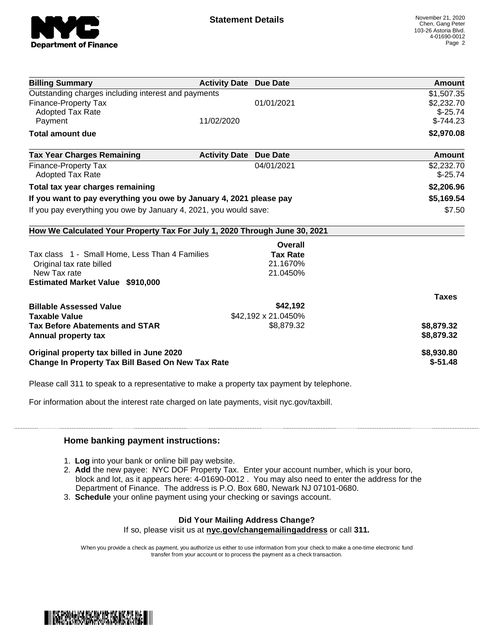

| <b>Billing Summary</b>                                                     | <b>Activity Date Due Date</b>           | Amount       |
|----------------------------------------------------------------------------|-----------------------------------------|--------------|
| Outstanding charges including interest and payments                        |                                         | \$1,507.35   |
| <b>Finance-Property Tax</b>                                                | 01/01/2021                              | \$2,232.70   |
| Adopted Tax Rate                                                           |                                         | $$-25.74$    |
| Payment                                                                    | 11/02/2020                              | $$-744.23$   |
| <b>Total amount due</b>                                                    |                                         | \$2,970.08   |
| <b>Tax Year Charges Remaining</b>                                          | <b>Activity Date</b><br><b>Due Date</b> | Amount       |
| <b>Finance-Property Tax</b>                                                | 04/01/2021                              | \$2,232.70   |
| <b>Adopted Tax Rate</b>                                                    |                                         | $$-25.74$    |
| Total tax year charges remaining                                           |                                         | \$2,206.96   |
| If you want to pay everything you owe by January 4, 2021 please pay        |                                         | \$5,169.54   |
| If you pay everything you owe by January 4, 2021, you would save:          |                                         | \$7.50       |
| How We Calculated Your Property Tax For July 1, 2020 Through June 30, 2021 |                                         |              |
|                                                                            | Overall                                 |              |
| Tax class 1 - Small Home, Less Than 4 Families                             | <b>Tax Rate</b>                         |              |
| Original tax rate billed                                                   | 21.1670%                                |              |
| New Tax rate                                                               | 21.0450%                                |              |
| <b>Estimated Market Value \$910,000</b>                                    |                                         |              |
|                                                                            |                                         | <b>Taxes</b> |
| <b>Billable Assessed Value</b>                                             | \$42,192                                |              |
| <b>Taxable Value</b>                                                       | \$42,192 x 21.0450%                     |              |
| <b>Tax Before Abatements and STAR</b>                                      | \$8,879.32                              | \$8,879.32   |
| Annual property tax                                                        |                                         | \$8,879.32   |
| Original property tax billed in June 2020                                  |                                         | \$8,930.80   |
|                                                                            |                                         |              |

Please call 311 to speak to a representative to make a property tax payment by telephone.

For information about the interest rate charged on late payments, visit nyc.gov/taxbill.

## **Home banking payment instructions:**

- 1. **Log** into your bank or online bill pay website.
- 2. **Add** the new payee: NYC DOF Property Tax. Enter your account number, which is your boro, block and lot, as it appears here: 4-01690-0012 . You may also need to enter the address for the Department of Finance. The address is P.O. Box 680, Newark NJ 07101-0680.
- 3. **Schedule** your online payment using your checking or savings account.

## **Did Your Mailing Address Change?** If so, please visit us at **nyc.gov/changemailingaddress** or call **311.**

When you provide a check as payment, you authorize us either to use information from your check to make a one-time electronic fund transfer from your account or to process the payment as a check transaction.